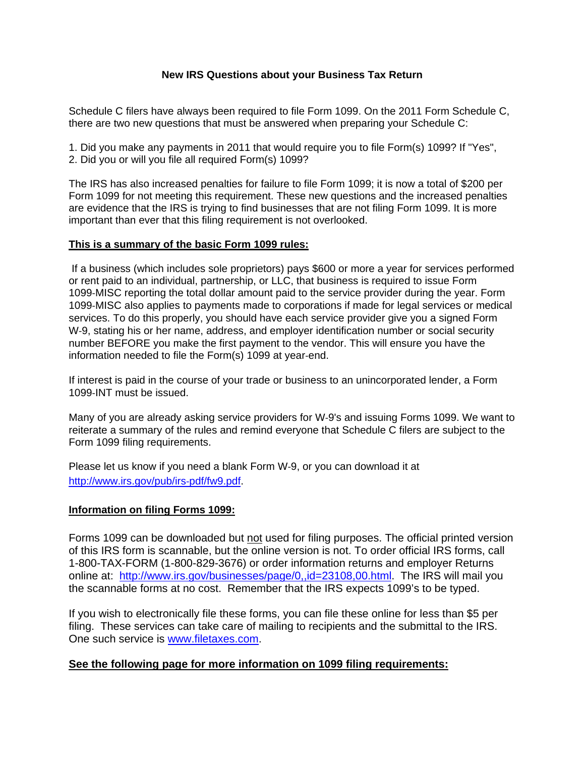## **New IRS Questions about your Business Tax Return**

Schedule C filers have always been required to file Form 1099. On the 2011 Form Schedule C, there are two new questions that must be answered when preparing your Schedule C:

1. Did you make any payments in 2011 that would require you to file Form(s) 1099? If "Yes", 2. Did you or will you file all required Form(s) 1099?

The IRS has also increased penalties for failure to file Form 1099; it is now a total of \$200 per Form 1099 for not meeting this requirement. These new questions and the increased penalties are evidence that the IRS is trying to find businesses that are not filing Form 1099. It is more important than ever that this filing requirement is not overlooked.

## **This is a summary of the basic Form 1099 rules:**

If a business (which includes sole proprietors) pays \$600 or more a year for services performed or rent paid to an individual, partnership, or LLC, that business is required to issue Form 1099-MISC reporting the total dollar amount paid to the service provider during the year. Form 1099-MISC also applies to payments made to corporations if made for legal services or medical services. To do this properly, you should have each service provider give you a signed Form W-9, stating his or her name, address, and employer identification number or social security number BEFORE you make the first payment to the vendor. This will ensure you have the information needed to file the Form(s) 1099 at year-end.

If interest is paid in the course of your trade or business to an unincorporated lender, a Form 1099-INT must be issued.

Many of you are already asking service providers for W-9's and issuing Forms 1099. We want to reiterate a summary of the rules and remind everyone that Schedule C filers are subject to the Form 1099 filing requirements.

Please let us know if you need a blank Form W-9, or you can download it at http://www.irs.gov/pub/irs-pdf/fw9.pdf.

## **Information on filing Forms 1099:**

Forms 1099 can be downloaded but not used for filing purposes. The official printed version of this IRS form is scannable, but the online version is not. To order official IRS forms, call 1-800-TAX-FORM (1-800-829-3676) or order information returns and employer Returns online at: [http://www.irs.gov/businesses/page/0,,id=23108,00.html.](http://www.irs.gov/businesses/page/0,,id=23108,00.html) The IRS will mail you the scannable forms at no cost. Remember that the IRS expects 1099's to be typed.

If you wish to electronically file these forms, you can file these online for less than \$5 per filing. These services can take care of mailing to recipients and the submittal to the IRS. One such service is www.filetaxes.com.

## **See the following page for more information on 1099 filing requirements:**